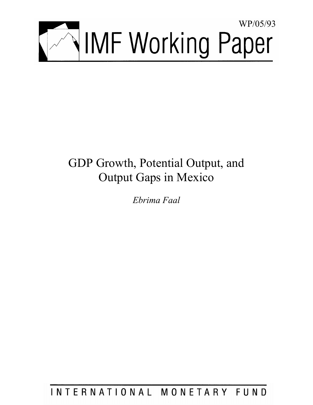

# GDP Growth, Potential Output, and Output Gaps in Mexico

*Ebrima Faal* 

INTERNATIONAL MONETARY FUND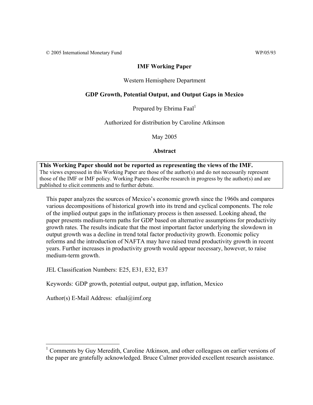© 2005 International Monetary Fund WP/05/93

## **IMF Working Paper**

## Western Hemisphere Department

# **GDP Growth, Potential Output, and Output Gaps in Mexico**

Prepared by Ebrima Faal<sup>1</sup>

Authorized for distribution by Caroline Atkinson

May 2005

## **Abstract**

**This Working Paper should not be reported as representing the views of the IMF.** The views expressed in this Working Paper are those of the author(s) and do not necessarily represent those of the IMF or IMF policy. Working Papers describe research in progress by the author(s) and are published to elicit comments and to further debate.

This paper analyzes the sources of Mexico's economic growth since the 1960s and compares various decompositions of historical growth into its trend and cyclical components. The role of the implied output gaps in the inflationary process is then assessed. Looking ahead, the paper presents medium-term paths for GDP based on alternative assumptions for productivity growth rates. The results indicate that the most important factor underlying the slowdown in output growth was a decline in trend total factor productivity growth. Economic policy reforms and the introduction of NAFTA may have raised trend productivity growth in recent years. Further increases in productivity growth would appear necessary, however, to raise medium-term growth.

JEL Classification Numbers: E25, E31, E32, E37

Keywords: GDP growth, potential output, output gap, inflation, Mexico

Author(s) E-Mail Address: efaal@imf.org

<sup>1</sup> Comments by Guy Meredith, Caroline Atkinson, and other colleagues on earlier versions of the paper are gratefully acknowledged. Bruce Culmer provided excellent research assistance.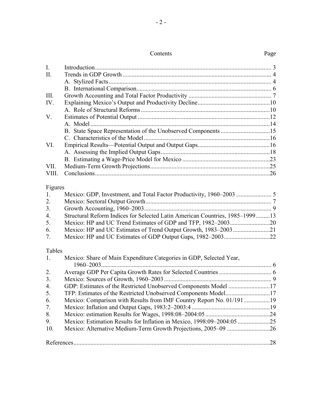| Contents |
|----------|
|----------|

| $I_{\cdot}$    |                                                                              |  |
|----------------|------------------------------------------------------------------------------|--|
| II.            |                                                                              |  |
|                |                                                                              |  |
|                |                                                                              |  |
| III.           |                                                                              |  |
| IV.            |                                                                              |  |
|                |                                                                              |  |
| V.             |                                                                              |  |
|                |                                                                              |  |
|                |                                                                              |  |
|                |                                                                              |  |
| VI.            |                                                                              |  |
|                |                                                                              |  |
|                |                                                                              |  |
| VII.           |                                                                              |  |
| VIII.          |                                                                              |  |
| Figures        |                                                                              |  |
| 1.             |                                                                              |  |
| 2.             |                                                                              |  |
| 3 <sub>1</sub> |                                                                              |  |
| 4.             | Structural Reform Indices for Selected Latin American Countries, 1985–199913 |  |
| 5.             |                                                                              |  |
| 6.             | Mexico: HP and UC Estimates of Trend Output Growth, 1983-200321              |  |
| 7.             |                                                                              |  |
|                |                                                                              |  |
| Tables<br>1.   | Mexico: Share of Main Expenditure Categories in GDP, Selected Year,          |  |
|                |                                                                              |  |
| 2.             |                                                                              |  |
| 3.             |                                                                              |  |
| 4.             | GDP: Estimates of the Restricted Unobserved Components Model 17              |  |
| 5.             | TFP: Estimates of the Restricted Unobserved Components Model17               |  |
| 6.             | Mexico: Comparison with Results from IMF Country Report No. 01/19119         |  |
| 7.             |                                                                              |  |
| 8.             |                                                                              |  |
| 9.             | Mexico: Estimation Results for Inflation in Mexico, 1998:09-2004:0525        |  |
| 10.            | Mexico: Alternative Medium-Term Growth Projections, 2005-09 26               |  |
|                |                                                                              |  |
|                |                                                                              |  |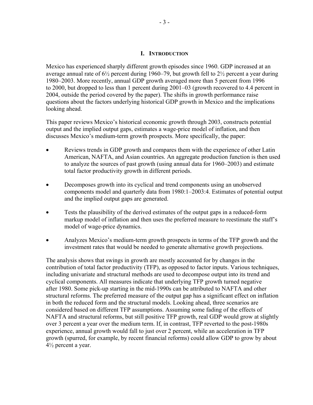#### **I. INTRODUCTION**

Mexico has experienced sharply different growth episodes since 1960. GDP increased at an average annual rate of  $6\frac{1}{2}$  percent during 1960–79, but growth fell to  $2\frac{1}{2}$  percent a year during 1980–2003. More recently, annual GDP growth averaged more than 5 percent from 1996 to 2000, but dropped to less than 1 percent during 2001–03 (growth recovered to 4.4 percent in 2004, outside the period covered by the paper). The shifts in growth performance raise questions about the factors underlying historical GDP growth in Mexico and the implications looking ahead.

This paper reviews Mexico's historical economic growth through 2003, constructs potential output and the implied output gaps, estimates a wage-price model of inflation, and then discusses Mexico's medium-term growth prospects. More specifically, the paper:

- Reviews trends in GDP growth and compares them with the experience of other Latin American, NAFTA, and Asian countries. An aggregate production function is then used to analyze the sources of past growth (using annual data for 1960–2003) and estimate total factor productivity growth in different periods.
- Decomposes growth into its cyclical and trend components using an unobserved components model and quarterly data from 1980:1–2003:4. Estimates of potential output and the implied output gaps are generated.
- Tests the plausibility of the derived estimates of the output gaps in a reduced-form markup model of inflation and then uses the preferred measure to reestimate the staff's model of wage-price dynamics.
- Analyzes Mexico's medium-term growth prospects in terms of the TFP growth and the investment rates that would be needed to generate alternative growth projections.

The analysis shows that swings in growth are mostly accounted for by changes in the contribution of total factor productivity (TFP), as opposed to factor inputs. Various techniques, including univariate and structural methods are used to decompose output into its trend and cyclical components. All measures indicate that underlying TFP growth turned negative after 1980. Some pick-up starting in the mid-1990s can be attributed to NAFTA and other structural reforms. The preferred measure of the output gap has a significant effect on inflation in both the reduced form and the structural models. Looking ahead, three scenarios are considered based on different TFP assumptions. Assuming some fading of the effects of NAFTA and structural reforms, but still positive TFP growth, real GDP would grow at slightly over 3 percent a year over the medium term. If, in contrast, TFP reverted to the post-1980s experience, annual growth would fall to just over 2 percent, while an acceleration in TFP growth (spurred, for example, by recent financial reforms) could allow GDP to grow by about 4½ percent a year.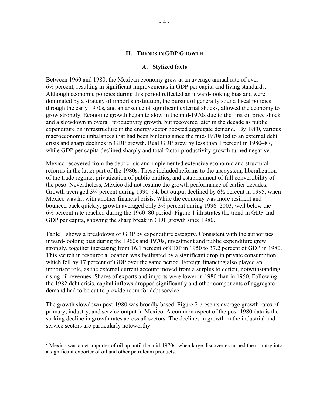#### **II. TRENDS IN GDP GROWTH**

#### **A. Stylized facts**

Between 1960 and 1980, the Mexican economy grew at an average annual rate of over 6½ percent, resulting in significant improvements in GDP per capita and living standards. Although economic policies during this period reflected an inward-looking bias and were dominated by a strategy of import substitution, the pursuit of generally sound fiscal policies through the early 1970s, and an absence of significant external shocks, allowed the economy to grow strongly. Economic growth began to slow in the mid-1970s due to the first oil price shock and a slowdown in overall productivity growth, but recovered later in the decade as public expenditure on infrastructure in the energy sector boosted aggregate demand.<sup>2</sup> By 1980, various macroeconomic imbalances that had been building since the mid-1970s led to an external debt crisis and sharp declines in GDP growth. Real GDP grew by less than 1 percent in 1980–87, while GDP per capita declined sharply and total factor productivity growth turned negative.

Mexico recovered from the debt crisis and implemented extensive economic and structural reforms in the latter part of the 1980s. These included reforms to the tax system, liberalization of the trade regime, privatization of public entities, and establishment of full convertibility of the peso. Nevertheless, Mexico did not resume the growth performance of earlier decades. Growth averaged  $3\frac{3}{4}$  percent during 1990–94, but output declined by  $6\frac{1}{2}$  percent in 1995, when Mexico was hit with another financial crisis. While the economy was more resilient and bounced back quickly, growth averaged only 3½ percent during 1996–2003, well below the 6½ percent rate reached during the 1960–80 period. Figure 1 illustrates the trend in GDP and GDP per capita, showing the sharp break in GDP growth since 1980.

Table 1 shows a breakdown of GDP by expenditure category. Consistent with the authorities' inward-looking bias during the 1960s and 1970s, investment and public expenditure grew strongly, together increasing from 16.1 percent of GDP in 1950 to 37.2 percent of GDP in 1980. This switch in resource allocation was facilitated by a significant drop in private consumption, which fell by 17 percent of GDP over the same period. Foreign financing also played an important role, as the external current account moved from a surplus to deficit, notwithstanding rising oil revenues. Shares of exports and imports were lower in 1980 than in 1950. Following the 1982 debt crisis, capital inflows dropped significantly and other components of aggregate demand had to be cut to provide room for debt service.

The growth slowdown post-1980 was broadly based. Figure 2 presents average growth rates of primary, industry, and service output in Mexico. A common aspect of the post-1980 data is the striking decline in growth rates across all sectors. The declines in growth in the industrial and service sectors are particularly noteworthy.

<sup>&</sup>lt;sup>2</sup> Mexico was a net importer of oil up until the mid-1970s, when large discoveries turned the country into a significant exporter of oil and other petroleum products.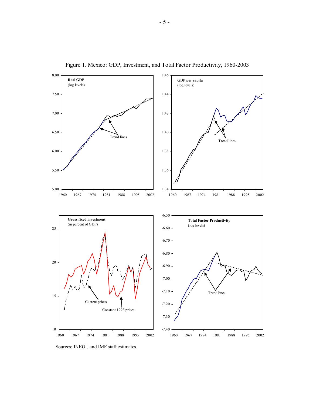

Figure 1. Mexico: GDP, Investment, and Total Factor Productivity, 1960-2003

Sources: INEGI, and IMF staff estimates.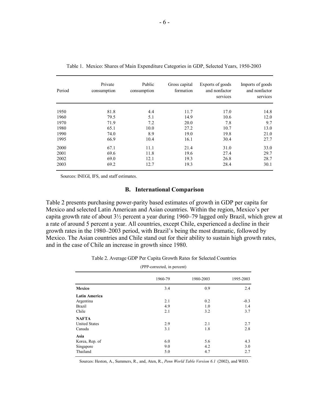| Period | Private<br>consumption | Public<br>consumption | Gross capital<br>formation | Exports of goods<br>and nonfactor<br>services | Imports of goods<br>and nonfactor<br>services |
|--------|------------------------|-----------------------|----------------------------|-----------------------------------------------|-----------------------------------------------|
| 1950   | 81.8                   | 4.4                   | 11.7                       | 17.0                                          | 14.8                                          |
| 1960   | 79.5                   | 5.1                   | 14.9                       | 10.6                                          | 12.0                                          |
| 1970   | 71.9                   | 7.2                   | 20.0                       | 7.8                                           | 9.7                                           |
| 1980   | 65.1                   | 10.0                  | 27.2                       | 10.7                                          | 13.0                                          |
| 1990   | 74.0                   | 8.9                   | 19.0                       | 19.8                                          | 21.0                                          |
| 1995   | 66.9                   | 10.4                  | 16.1                       | 30.4                                          | 27.7                                          |
| 2000   | 67.1                   | 11.1                  | 21.4                       | 31.0                                          | 33.0                                          |
| 2001   | 69.6                   | 11.8                  | 19.6                       | 27.4                                          | 29.7                                          |
| 2002   | 69.0                   | 12.1                  | 19.3                       | 26.8                                          | 28.7                                          |
| 2003   | 69.2                   | 12.7                  | 19.3                       | 28.4                                          | 30.1                                          |

|  |  |  | Table 1. Mexico: Shares of Main Expenditure Categories in GDP, Selected Years, 1950-2003 |  |
|--|--|--|------------------------------------------------------------------------------------------|--|
|  |  |  |                                                                                          |  |

Sources: INEGI, IFS, and staff estimates.

## **B. International Comparison**

Table 2 presents purchasing power-parity based estimates of growth in GDP per capita for Mexico and selected Latin American and Asian countries. Within the region, Mexico's per capita growth rate of about 3½ percent a year during 1960–79 lagged only Brazil, which grew at a rate of around 5 percent a year. All countries, except Chile, experienced a decline in their growth rates in the 1980–2003 period, with Brazil's being the most dramatic, followed by Mexico. The Asian countries and Chile stand out for their ability to sustain high growth rates, and in the case of Chile an increase in growth since 1980.

|  | Table 2. Average GDP Per Capita Growth Rates for Selected Countries |  |  |  |  |  |  |
|--|---------------------------------------------------------------------|--|--|--|--|--|--|
|--|---------------------------------------------------------------------|--|--|--|--|--|--|

|                      | (PPP-corrected, in percent) |           |           |  |  |  |  |
|----------------------|-----------------------------|-----------|-----------|--|--|--|--|
|                      | 1960-79                     | 1980-2003 | 1995-2003 |  |  |  |  |
| Mexico               | 3.4                         | 0.9       | 2.4       |  |  |  |  |
| <b>Latin America</b> |                             |           |           |  |  |  |  |
| Argentina            | 2.1                         | 0.2       | $-0.3$    |  |  |  |  |
| <b>Brazil</b>        | 4.9                         | 1.0       | 1.4       |  |  |  |  |
| Chile                | 2.1                         | 3.2       | 3.7       |  |  |  |  |
| <b>NAFTA</b>         |                             |           |           |  |  |  |  |
| <b>United States</b> | 2.9                         | 2.1       | 2.7       |  |  |  |  |
| Canada               | 3.1                         | 1.8       | 2.8       |  |  |  |  |
| Asia                 |                             |           |           |  |  |  |  |
| Korea, Rep. of       | 6.0                         | 5.6       | 4.3       |  |  |  |  |
| Singapore            | 9.0                         | 4.2       | 3.0       |  |  |  |  |
| Thailand             | 5.0                         | 4.7       | 2.7       |  |  |  |  |

(PPP-corrected, in percent)

Sources: Heston, A., Summers, R., and, Aten, R., *Penn World Table Version 6.1* (2002), and WEO.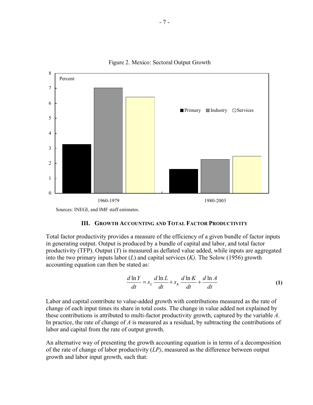

Figure 2. Mexico: Sectoral Output Growth

Sources: INEGI, and IMF staff estimates.

#### **III. GROWTH ACCOUNTING AND TOTAL FACTOR PRODUCTIVITY**

Total factor productivity provides a measure of the efficiency of a given bundle of factor inputs in generating output. Output is produced by a bundle of capital and labor, and total factor productivity (TFP). Output (*Y*) is measured as deflated value added, while inputs are aggregated into the two primary inputs labor (*L*) and capital services (*K).* The Solow (1956) growth accounting equation can then be stated as:

$$
\frac{d\ln Y}{dt} = s_L \frac{d\ln L}{dt} + s_K \frac{d\ln K}{dt} + \frac{d\ln A}{dt}
$$
 (1)

Labor and capital contribute to value-added growth with contributions measured as the rate of change of each input times its share in total costs. The change in value added not explained by these contributions is attributed to multi-factor productivity growth, captured by the variable *A*. In practice, the rate of change of *A* is measured as a residual, by subtracting the contributions of labor and capital from the rate of output growth.

An alternative way of presenting the growth accounting equation is in terms of a decomposition of the rate of change of labor productivity (*LP)*, measured as the difference between output growth and labor input growth, such that: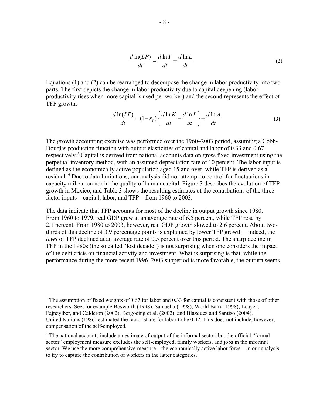$$
\frac{d \ln(LP)}{dt} = \frac{d \ln Y}{dt} - \frac{d \ln L}{dt}
$$
 (2)

Equations (1) and (2) can be rearranged to decompose the change in labor productivity into two parts. The first depicts the change in labor productivity due to capital deepening (labor productivity rises when more capital is used per worker) and the second represents the effect of TFP growth:

$$
\frac{d \ln(LP)}{dt} = (1 - s_L) \left\{ \frac{d \ln K}{dt} - \frac{d \ln L}{dt} \right\} + \frac{d \ln A}{dt}
$$
 (3)

The growth accounting exercise was performed over the 1960–2003 period, assuming a Cobb-Douglas production function with output elasticities of capital and labor of 0.33 and 0.67 respectively.<sup>3</sup> Capital is derived from national accounts data on gross fixed investment using the perpetual inventory method, with an assumed depreciation rate of 10 percent. The labor input is defined as the economically active population aged 15 and over, while TFP is derived as a residual.<sup>4</sup> Due to data limitations, our analysis did not attempt to control for fluctuations in capacity utilization nor in the quality of human capital. Figure 3 describes the evolution of TFP growth in Mexico, and Table 3 shows the resulting estimates of the contributions of the three factor inputs—capital, labor, and TFP—from 1960 to 2003.

The data indicate that TFP accounts for most of the decline in output growth since 1980. From 1960 to 1979, real GDP grew at an average rate of 6.5 percent, while TFP rose by 2.1 percent. From 1980 to 2003, however, real GDP growth slowed to 2.6 percent. About twothirds of this decline of 3.9 percentage points is explained by lower TFP growth—indeed, the *level* of TFP declined at an average rate of 0.5 percent over this period. The sharp decline in TFP in the 1980s (the so called "lost decade") is not surprising when one considers the impact of the debt crisis on financial activity and investment. What is surprising is that, while the performance during the more recent 1996–2003 subperiod is more favorable, the outturn seems

 $3$  The assumption of fixed weights of 0.67 for labor and 0.33 for capital is consistent with those of other researchers. See; for example Bosworth (1998), Santaella (1998), World Bank (1998), Loayza, Fajnzylber, and Calderon (2002), Bergoeing et al. (2002), and Blazquez and Santiso (2004). United Nations (1986) estimated the factor share for labor to be 0.42. This does not include, however, compensation of the self-employed.

<sup>&</sup>lt;sup>4</sup> The national accounts include an estimate of output of the informal sector, but the official "formal" sector" employment measure excludes the self-employed, family workers, and jobs in the informal sector. We use the more comprehensive measure—the economically active labor force—in our analysis to try to capture the contribution of workers in the latter categories.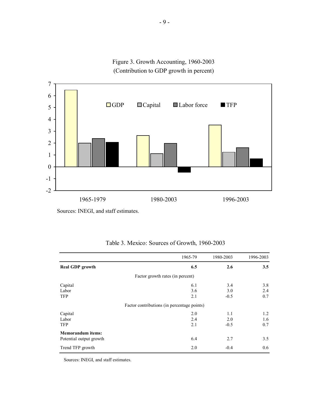Figure 3. Growth Accounting, 1960-2003 (Contribution to GDP growth in percent)



Sources: INEGI, and staff estimates.

|                          | 1965-79                                     | 1980-2003 | 1996-2003 |
|--------------------------|---------------------------------------------|-----------|-----------|
| <b>Real GDP</b> growth   | 6.5                                         | 2.6       | 3.5       |
|                          | Factor growth rates (in percent)            |           |           |
| Capital                  | 6.1                                         | 3.4       | 3.8       |
| Labor                    | 3.6                                         | 3.0       | 2.4       |
| <b>TFP</b>               | 2.1                                         | $-0.5$    | 0.7       |
|                          | Factor contributions (in percentage points) |           |           |
| Capital                  | 2.0                                         | 1.1       | 1.2       |
| Labor                    | 2.4                                         | 2.0       | 1.6       |
| <b>TFP</b>               | 2.1                                         | $-0.5$    | 0.7       |
| <b>Memorandum</b> items: |                                             |           |           |
| Potential output growth  | 6.4                                         | 2.7       | 3.5       |
| Trend TFP growth         | 2.0                                         | $-0.4$    | 0.6       |

| Table 3. Mexico: Sources of Growth, 1960-2003 |  |  |  |
|-----------------------------------------------|--|--|--|
|-----------------------------------------------|--|--|--|

Sources: INEGI, and staff estimates.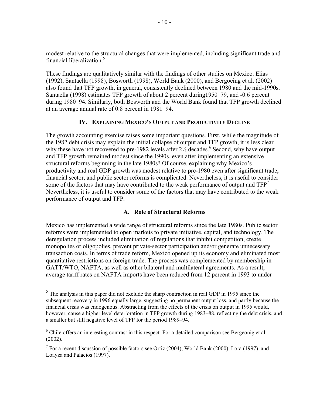modest relative to the structural changes that were implemented, including significant trade and financial liberalization.<sup>5</sup>

These findings are qualitatively similar with the findings of other studies on Mexico. Elias (1992), Santaella (1998), Bosworth (1998), World Bank (2000), and Bergoeing et al. (2002) also found that TFP growth, in general, consistently declined between 1980 and the mid-1990s. Santaella (1998) estimates TFP growth of about 2 percent during1950–79, and -0.6 percent during 1980–94. Similarly, both Bosworth and the World Bank found that TFP growth declined at an average annual rate of 0.8 percent in 1981–94.

# **IV. EXPLAINING MEXICO'S OUTPUT AND PRODUCTIVITY DECLINE**

The growth accounting exercise raises some important questions. First, while the magnitude of the 1982 debt crisis may explain the initial collapse of output and TFP growth, it is less clear why these have not recovered to pre-1982 levels after  $2\frac{1}{2}$  decades.<sup>6</sup> Second, why have output and TFP growth remained modest since the 1990s, even after implementing an extensive structural reforms beginning in the late 1980s? Of course, explaining why Mexico's productivity and real GDP growth was modest relative to pre-1980 even after significant trade, financial sector, and public sector reforms is complicated. Nevertheless, it is useful to consider some of the factors that may have contributed to the weak performance of output and  $TFP<sup>7</sup>$ Nevertheless, it is useful to consider some of the factors that may have contributed to the weak performance of output and TFP.

### **A. Role of Structural Reforms**

Mexico has implemented a wide range of structural reforms since the late 1980s. Public sector reforms were implemented to open markets to private initiative, capital, and technology. The deregulation process included elimination of regulations that inhibit competition, create monopolies or oligopolies, prevent private-sector participation and/or generate unnecessary transaction costs. In terms of trade reform, Mexico opened up its economy and eliminated most quantitative restrictions on foreign trade. The process was complemented by membership in GATT/WTO, NAFTA, as well as other bilateral and multilateral agreements. As a result, average tariff rates on NAFTA imports have been reduced from 12 percent in 1993 to under

 $<sup>5</sup>$  The analysis in this paper did not exclude the sharp contraction in real GDP in 1995 since the</sup> subsequent recovery in 1996 equally large, suggesting no permanent output loss, and partly because the financial crisis was endogenous. Abstracting from the effects of the crisis on output in 1995 would, however, cause a higher level deterioration in TFP growth during 1983–88, reflecting the debt crisis, and a smaller but still negative level of TFP for the period 1989–94.

<sup>&</sup>lt;sup>6</sup> Chile offers an interesting contrast in this respect. For a detailed comparison see Bergeonig et al. (2002).

<sup>&</sup>lt;sup>7</sup> For a recent discussion of possible factors see Ortiz (2004), World Bank (2000), Lora (1997), and Loayza and Palacios (1997).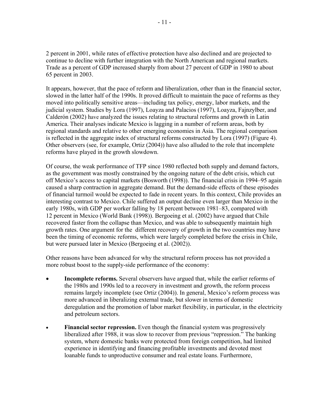2 percent in 2001, while rates of effective protection have also declined and are projected to continue to decline with further integration with the North American and regional markets. Trade as a percent of GDP increased sharply from about 27 percent of GDP in 1980 to about 65 percent in 2003.

It appears, however, that the pace of reform and liberalization, other than in the financial sector, slowed in the latter half of the 1990s. It proved difficult to maintain the pace of reforms as they moved into politically sensitive areas—including tax policy, energy, labor markets, and the judicial system. Studies by Lora (1997), Loayza and Palacios (1997), Loayza, Fajnzylber, and Calderón (2002) have analyzed the issues relating to structural reforms and growth in Latin America. Their analyses indicate Mexico is lagging in a number of reform areas, both by regional standards and relative to other emerging economies in Asia. The regional comparison is reflected in the aggregate index of structural reforms constructed by Lora (1997) (Figure 4). Other observers (see, for example, Ortiz (2004)) have also alluded to the role that incomplete reforms have played in the growth slowdown.

Of course, the weak performance of TFP since 1980 reflected both supply and demand factors, as the government was mostly constrained by the ongoing nature of the debt crisis, which cut off Mexico's access to capital markets (Bosworth (1998)). The financial crisis in 1994–95 again caused a sharp contraction in aggregate demand. But the demand-side effects of these episodes of financial turmoil would be expected to fade in recent years. In this context, Chile provides an interesting contrast to Mexico. Chile suffered an output decline even larger than Mexico in the early 1980s, with GDP per worker falling by 18 percent between 1981–83, compared with 12 percent in Mexico (World Bank (1998)). Bergoeing et al. (2002) have argued that Chile recovered faster from the collapse than Mexico, and was able to subsequently maintain high growth rates. One argument for the different recovery of growth in the two countries may have been the timing of economic reforms, which were largely completed before the crisis in Chile, but were pursued later in Mexico (Bergoeing et al. (2002)).

Other reasons have been advanced for why the structural reform process has not provided a more robust boost to the supply-side performance of the economy:

- **Incomplete reforms.** Several observers have argued that, while the earlier reforms of the 1980s and 1990s led to a recovery in investment and growth, the reform process remains largely incomplete (see Ortiz (2004)). In general, Mexico's reform process was more advanced in liberalizing external trade, but slower in terms of domestic deregulation and the promotion of labor market flexibility, in particular, in the electricity and petroleum sectors.
- **Financial sector repression.** Even though the financial system was progressively liberalized after 1988, it was slow to recover from previous "repression." The banking system, where domestic banks were protected from foreign competition, had limited experience in identifying and financing profitable investments and devoted most loanable funds to unproductive consumer and real estate loans. Furthermore,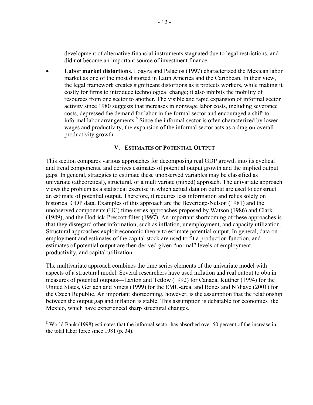development of alternative financial instruments stagnated due to legal restrictions, and did not become an important source of investment finance.

• **Labor market distortions.** Loayza and Palacios (1997) characterized the Mexican labor market as one of the most distorted in Latin America and the Caribbean. In their view, the legal framework creates significant distortions as it protects workers, while making it costly for firms to introduce technological change; it also inhibits the mobility of resources from one sector to another. The visible and rapid expansion of informal sector activity since 1980 suggests that increases in nonwage labor costs, including severance costs, depressed the demand for labor in the formal sector and encouraged a shift to informal labor arrangements.<sup>8</sup> Since the informal sector is often characterized by lower wages and productivity, the expansion of the informal sector acts as a drag on overall productivity growth.

## **V. ESTIMATES OF POTENTIAL OUTPUT**

This section compares various approaches for decomposing real GDP growth into its cyclical and trend components, and derives estimates of potential output growth and the implied output gaps. In general, strategies to estimate these unobserved variables may be classified as univariate (atheoretical), structural, or a multivariate (mixed) approach. The univariate approach views the problem as a statistical exercise in which actual data on output are used to construct an estimate of potential output. Therefore, it requires less information and relies solely on historical GDP data. Examples of this approach are the Beveridge-Nelson (1981) and the unobserved components (UC) time-series approaches proposed by Watson (1986) and Clark (1989), and the Hodrick-Prescott filter (1997). An important shortcoming of these approaches is that they disregard other information, such as inflation, unemployment, and capacity utilization. Structural approaches exploit economic theory to estimate potential output. In general, data on employment and estimates of the capital stock are used to fit a production function, and estimates of potential output are then derived given "normal" levels of employment, productivity, and capital utilization.

The multivariate approach combines the time series elements of the univariate model with aspects of a structural model. Several researchers have used inflation and real output to obtain measures of potential outputs—Laxton and Tetlow (1992) for Canada, Kuttner (1994) for the United States, Gerlach and Smets (1999) for the EMU-area, and Benes and N'diaye (2001) for the Czech Republic. An important shortcoming, however, is the assumption that the relationship between the output gap and inflation is stable. This assumption is debatable for economies like Mexico, which have experienced sharp structural changes.

1

<sup>&</sup>lt;sup>8</sup> World Bank (1998) estimates that the informal sector has absorbed over 50 percent of the increase in the total labor force since 1981 (p. 34).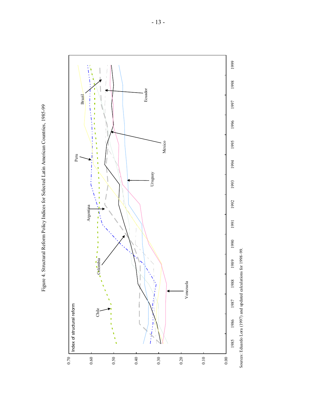

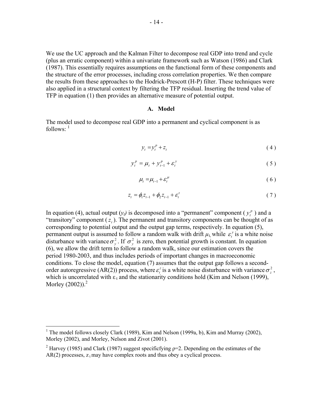We use the UC approach and the Kalman Filter to decompose real GDP into trend and cycle (plus an erratic component) within a univariate framework such as Watson (1986) and Clark (1987). This essentially requires assumptions on the functional form of these components and the structure of the error processes, including cross correlation properties. We then compare the results from these approaches to the Hodrick-Prescott (H-P) filter. These techniques were also applied in a structural context by filtering the TFP residual. Inserting the trend value of TFP in equation (1) then provides an alternative measure of potential output.

#### **A. Model**

The model used to decompose real GDP into a permanent and cyclical component is as follows: $<sup>1</sup>$ </sup>

$$
y_t = y_t^p + z_t \tag{4}
$$

$$
y_t^p = \mu_t + y_{t-1}^p + \varepsilon_t^y \tag{5}
$$

$$
\mu_t = \mu_{t-1} + \varepsilon_t^{\mu} \tag{6}
$$

$$
z_{t} = \phi_{1} z_{t-1} + \phi_{2} z_{t-1} + \varepsilon_{t}^{z}
$$
 (7)

In equation (4), actual output  $(y_t)$  is decomposed into a "permanent" component ( $y_t^p$ ) and a "transitory" component  $(z)$ . The permanent and transitory components can be thought of as corresponding to potential output and the output gap terms, respectively. In equation (5), permanent output is assumed to follow a random walk with drift  $\mu_t$ , while  $\varepsilon_t^y$  is a white noise disturbance with variance  $\sigma_y^2$ . If  $\sigma_y^2$  is zero, then potential growth is constant. In equation (6), we allow the drift term to follow a random walk, since our estimation covers the period 1980-2003, and thus includes periods of important changes in macroeconomic conditions. To close the model, equation (7) assumes that the output gap follows a secondorder autoregressive (AR(2)) process, where  $\varepsilon_t^z$  is a white noise disturbance with variance  $\sigma_z^2$ , which is uncorrelated with  $\varepsilon_t$  and the stationarity conditions hold (Kim and Nelson (1999), Morley  $(2002)$ ).<sup>2</sup>

<u>.</u>

<sup>&</sup>lt;sup>1</sup> The model follows closely Clark (1989), Kim and Nelson (1999a, b), Kim and Murray (2002), Morley (2002), and Morley, Nelson and Zivot (2001).

<sup>&</sup>lt;sup>2</sup> Harvey (1985) and Clark (1987) suggest specificfying  $p=2$ . Depending on the estimates of the  $AR(2)$  processes,  $z_1$  may have complex roots and thus obey a cyclical process.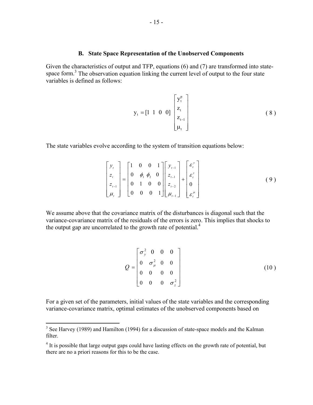#### **B. State Space Representation of the Unobserved Components**

Given the characteristics of output and TFP, equations (6) and (7) are transformed into statespace form. $3$  The observation equation linking the current level of output to the four state variables is defined as follows:

$$
y_{t} = \begin{bmatrix} 1 & 1 & 0 & 0 \end{bmatrix} \begin{bmatrix} y_{t}^{p} \\ z_{t} \\ z_{t-1} \\ \mu_{t} \end{bmatrix}
$$
 (8)

The state variables evolve according to the system of transition equations below:

$$
\begin{bmatrix} y_t \\ z_t \\ z_{t-1} \\ \mu_t \end{bmatrix} = \begin{bmatrix} 1 & 0 & 0 & 1 \\ 0 & \phi_1 & \phi_2 & 0 \\ 0 & 1 & 0 & 0 \\ 0 & 0 & 0 & 1 \end{bmatrix} \begin{bmatrix} y_{t-1} \\ z_{t-1} \\ z_{t-2} \\ \mu_{t-1} \end{bmatrix} + \begin{bmatrix} \varepsilon_t^y \\ \varepsilon_t^z \\ 0 \\ \varepsilon_t^u \end{bmatrix}
$$
 (9)

We assume above that the covariance matrix of the disturbances is diagonal such that the variance-covariance matrix of the residuals of the errors is zero. This implies that shocks to the output gap are uncorrelated to the growth rate of potential. $4$ 

$$
Q = \begin{bmatrix} \sigma_y^2 & 0 & 0 & 0 \\ 0 & \sigma_{\mu}^2 & 0 & 0 \\ 0 & 0 & 0 & 0 \\ 0 & 0 & 0 & \sigma_z^2 \end{bmatrix}
$$
 (10)

For a given set of the parameters, initial values of the state variables and the corresponding variance-covariance matrix, optimal estimates of the unobserved components based on

<sup>&</sup>lt;sup>3</sup> See Harvey (1989) and Hamilton (1994) for a discussion of state-space models and the Kalman filter.

<sup>&</sup>lt;sup>4</sup> It is possible that large output gaps could have lasting effects on the growth rate of potential, but there are no a priori reasons for this to be the case.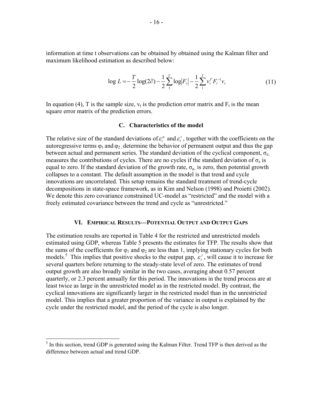information at time t observations can be obtained by obtained using the Kalman filter and maximum likelihood estimation as described below:

$$
\log L = -\frac{T}{2} \log(2\hat{\sigma}) - \frac{1}{2} \sum_{1}^{T} \log |F_t| - \frac{1}{2} \sum_{1}^{T} v_t^T F_t^{-1} v_t \tag{11}
$$

In equation (4), T is the sample size,  $v_t$  is the prediction error matrix and  $F_t$  is the mean square error matrix of the prediction errors.

#### **C. Characteristics of the model**

The relative size of the standard deviations of  $\varepsilon_t^{\mu}$  and  $\varepsilon_t^z$ , together with the coefficients on the autoregressive terms  $\varphi_1$  and  $\varphi_2$ , determine the behavior of permanent output and thus the gap between actual and permanent series. The standard deviation of the cyclical component,  $\sigma_{z}$ measures the contributions of cycles. There are no cycles if the standard deviation of  $\sigma_z$  is equal to zero. If the standard deviation of the growth rate,  $\sigma_{\mu}$  is zero, then potential growth collapses to a constant. The default assumption in the model is that trend and cycle innovations are uncorrelated. This setup remains the standard treatment of trend-cycle decompositions in state-space framework, as in Kim and Nelson (1998) and Proietti (2002). We denote this zero covariance constrained UC-model as "restricted" and the model with a freely estimated covariance between the trend and cycle as "unrestricted."

#### **VI. EMPIRICAL RESULTS—POTENTIAL OUTPUT AND OUTPUT GAPS**

The estimation results are reported in Table 4 for the restricted and unrestricted models estimated using GDP, whereas Table 5 presents the estimates for TFP. The results show that the sums of the coefficients for  $\varphi_1$  and  $\varphi_2$  are less than 1, implying stationary cycles for both models.<sup>5</sup> This implies that positive shocks to the output gap,  $\varepsilon_t^2$ , will cause it to increase for several quarters before returning to the steady-state level of zero. The estimates of trend output growth are also broadly similar in the two cases, averaging about 0.57 percent quarterly, or 2.3 percent annually for this period. The innovations in the trend process are at least twice as large in the unrestricted model as in the restricted model. By contrast, the cyclical innovations are significantly larger in the restricted model than in the unrestricted model. This implies that a greater proportion of the variance in output is explained by the cycle under the restricted model, and the period of the cycle is also longer.

 $<sup>5</sup>$  In this section, trend GDP is generated using the Kalman Filter. Trend TFP is then derived as the</sup> difference between actual and trend GDP.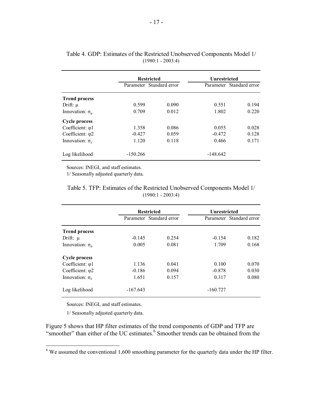|                            |            | <b>Restricted</b>        | Unrestricted |                          |
|----------------------------|------------|--------------------------|--------------|--------------------------|
|                            |            | Parameter Standard error |              | Parameter Standard error |
| <b>Trend process</b>       |            |                          |              |                          |
| Drift: $\mu$               | 0.599      | 0.090                    | 0.551        | 0.194                    |
| Innovation: $\sigma_{\mu}$ | 0.709      | 0.012                    | 1.802        | 0.220                    |
| <b>Cycle process</b>       |            |                          |              |                          |
| Coefficient: $\varphi$ 1   | 1.358      | 0.086                    | 0.055        | 0.028                    |
| Coefficient: $\varphi$ 2   | $-0.427$   | 0.059                    | $-0.472$     | 0.128                    |
| Innovation: $\sigma_z$     | 1.120      | 0.118                    | 0.466        | 0.171                    |
| Log likelihood             | $-150.266$ |                          | $-148.642$   |                          |

|  |  |                     |  | Table 4. GDP: Estimates of the Restricted Unobserved Components Model 1/ |  |
|--|--|---------------------|--|--------------------------------------------------------------------------|--|
|  |  | $(1980:1 - 2003:4)$ |  |                                                                          |  |

Sources: INEGI, and staff estimates.

1/ Seasonally adjusted quarterly data.

Table 5. TFP: Estimates of the Restricted Unobserved Components Model 1/  $(1980:1 - 2003:4)$ 

|                            |            | <b>Restricted</b>        | Unrestricted |                          |
|----------------------------|------------|--------------------------|--------------|--------------------------|
|                            |            | Parameter Standard error |              | Parameter Standard error |
| <b>Trend process</b>       |            |                          |              |                          |
| Drift: $\mu$               | $-0.145$   | 0.254                    | $-0.154$     | 0.182                    |
| Innovation: $\sigma_{\mu}$ | 0.005      | 0.081                    | 1.709        | 0.168                    |
| <b>Cycle process</b>       |            |                          |              |                          |
| Coefficient: $\varphi$ 1   | 1.136      | 0.041                    | 0.100        | 0.070                    |
| Coefficient: $\varphi$ 2   | $-0.186$   | 0.094                    | $-0.878$     | 0.030                    |
| Innovation: $\sigma_z$     | 1.651      | 0.157                    | 0.317        | 0.080                    |
| Log likelihood             | $-167.643$ |                          | $-160.727$   |                          |

Sources: INEGI, and staff estimates.

1/ Seasonally adjusted quarterly data.

 $\overline{a}$ 

Figure 5 shows that HP filter estimates of the trend components of GDP and TFP are "smoother" than either of the UC estimates.<sup>6</sup> Smoother trends can be obtained from the

 $6$  We assumed the conventional 1,600 smoothing parameter for the quarterly data under the HP filter.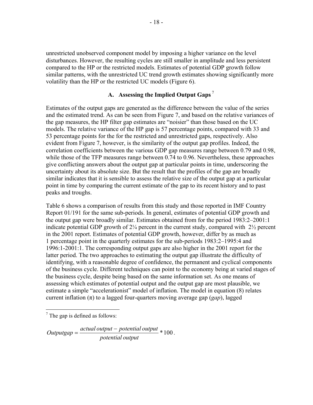unrestricted unobserved component model by imposing a higher variance on the level disturbances. However, the resulting cycles are still smaller in amplitude and less persistent compared to the HP or the restricted models. Estimates of potential GDP growth follow similar patterns, with the unrestricted UC trend growth estimates showing significantly more volatility than the HP or the restricted UC models (Figure 6).

## **A. Assessing the Implied Output Gaps**<sup>7</sup>

Estimates of the output gaps are generated as the difference between the value of the series and the estimated trend. As can be seen from Figure 7, and based on the relative variances of the gap measures, the HP filter gap estimates are "noisier" than those based on the UC models. The relative variance of the HP gap is 57 percentage points, compared with 33 and 53 percentage points for the for the restricted and unrestricted gaps, respectively. Also evident from Figure 7, however, is the similarity of the output gap profiles. Indeed, the correlation coefficients between the various GDP gap measures range between 0.79 and 0.98, while those of the TFP measures range between 0.74 to 0.96. Nevertheless, these approaches give conflicting answers about the output gap at particular points in time, underscoring the uncertainty about its absolute size. But the result that the profiles of the gap are broadly similar indicates that it is sensible to assess the relative size of the output gap at a particular point in time by comparing the current estimate of the gap to its recent history and to past peaks and troughs.

Table 6 shows a comparison of results from this study and those reported in IMF Country Report 01/191 for the same sub-periods. In general, estimates of potential GDP growth and the output gap were broadly similar. Estimates obtained from for the period 1983:2–2001:1 indicate potential GDP growth of  $2\frac{1}{4}$  percent in the current study, compared with  $2\frac{1}{2}$  percent in the 2001 report. Estimates of potential GDP growth, however, differ by as much as 1 percentage point in the quarterly estimates for the sub-periods 1983:2–1995:4 and 1996:1-2001:1. The corresponding output gaps are also higher in the 2001 report for the latter period. The two approaches to estimating the output gap illustrate the difficulty of identifying, with a reasonable degree of confidence, the permanent and cyclical components of the business cycle. Different techniques can point to the economy being at varied stages of the business cycle, despite being based on the same information set. As one means of assessing which estimates of potential output and the output gap are most plausible, we estimate a simple "accelerationist" model of inflation. The model in equation (8) relates current inflation (π) to a lagged four-quarters moving average gap (*gap*), lagged

\*100 *potential output*  $Outputgap = \frac{actual\ output - potential\ output}{1} * 100$ .

 $\frac{7}{7}$  The gap is defined as follows: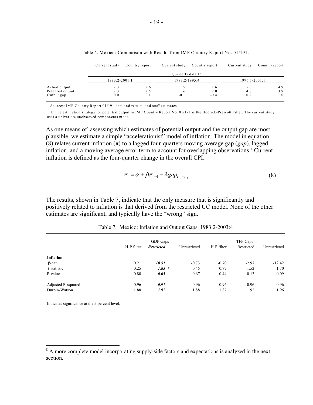|                                                 | Current study     | Country report    | Current study        | Country report       | Current study     | Country report    |
|-------------------------------------------------|-------------------|-------------------|----------------------|----------------------|-------------------|-------------------|
|                                                 |                   |                   | Ouarterly data 1/    |                      |                   |                   |
|                                                 | 1983:2-2001:1     |                   | 1983:2-1995:4        |                      | 1996:1-2001:1     |                   |
| Actual output<br>Potential output<br>Output gap | 2.3<br>2.3<br>0.0 | 2.6<br>2.5<br>0.1 | 1.5<br>I 6<br>$-0.1$ | 1.6<br>2.0<br>$-0.4$ | 5.0<br>4.8<br>0.2 | 4.9<br>3.9<br>1.0 |

Table 6. Mexico: Comparison with Results from IMF Country Report No. 01/191.

Sources: IMF Country Report 01/191 data and results, and staff estimates.

 1/ The estimation strategy for potential output in IMF Country Report No. 01/191 is the Hodrick-Prescott Filter. The current study uses a univariate unobserved components model.

As one means of assessing which estimates of potential output and the output gap are most plausible, we estimate a simple "accelerationist" model of inflation. The model in equation (8) relates current inflation  $(\pi)$  to a lagged four-quarters moving average gap (*gap*), lagged inflation, and a moving average error term to account for overlapping observations.<sup>8</sup> Current inflation is defined as the four-quarter change in the overall CPI.

$$
\pi_t = \alpha + \beta \pi_{t-4} + \lambda g a p_{t-1-t} \tag{8}
$$

The results, shown in Table 7, indicate that the only measure that is significantly and positively related to inflation is that derived from the restricted UC model. None of the other estimates are significant, and typically have the "wrong" sign.

|                    |            | GDP Gaps          |              |            | TFP Gaps   |              |  |
|--------------------|------------|-------------------|--------------|------------|------------|--------------|--|
|                    | H-P filter | <b>Restricted</b> | Unrestricted | H-P filter | Restricted | Unrestricted |  |
| <b>Inflation</b>   |            |                   |              |            |            |              |  |
| $\beta$ -hat       | 0.21       | 10.51             | $-0.73$      | $-0.70$    | $-2.97$    | $-12.42$     |  |
| t-statistic        | 0.25       | $1.85*$           | $-0.45$      | $-0.77$    | $-1.52$    | $-1.70$      |  |
| P-value            | 0.80       | 0.05              | 0.67         | 0.44       | 0.13       | 0.09         |  |
| Adjusted R-squared | 0.96       | 0.97              | 0.96         | 0.96       | 0.96       | 0.96         |  |
| Durbin-Watson      | 1.88       | 1.92              | 1.88         | 1.87       | 1.92       | 1.96         |  |

Table 7. Mexico: Inflation and Output Gaps, 1983:2-2003:4

Indicates significance at the 5 percent level.

<sup>&</sup>lt;sup>8</sup> A more complete model incorporating supply-side factors and expectations is analyzed in the next section.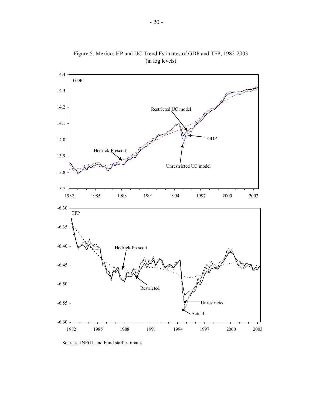

Figure 5. Mexico: HP and UC Trend Estimates of GDP and TFP, 1982-2003 (in log levels)

Sources: INEGI, and Fund staff estimates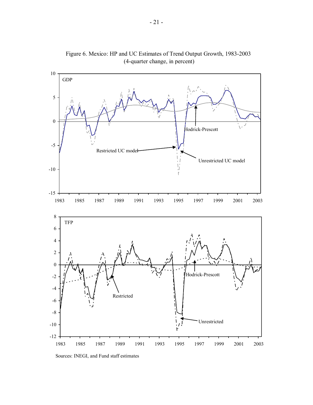

Figure 6. Mexico: HP and UC Estimates of Trend Output Growth, 1983-2003 (4-quarter change, in percent)

Sources: INEGI, and Fund staff estimates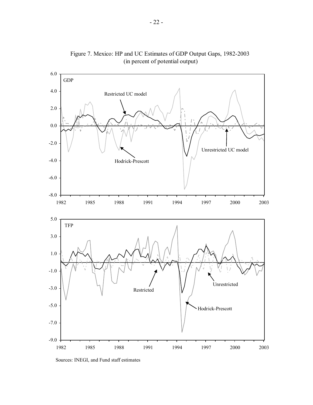

Figure 7. Mexico: HP and UC Estimates of GDP Output Gaps, 1982-2003 (in percent of potential output)

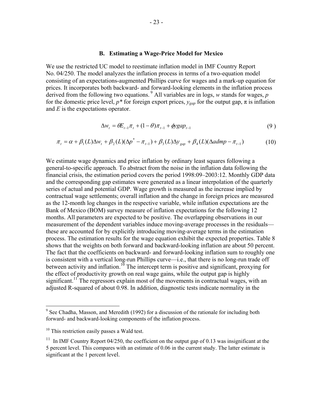#### **B. Estimating a Wage-Price Model for Mexico**

We use the restricted UC model to reestimate inflation model in IMF Country Report No. 04/250. The model analyzes the inflation process in terms of a two-equation model consisting of an expectations-augmented Phillips curve for wages and a mark-up equation for prices. It incorporates both backward- and forward-looking elements in the inflation process derived from the following two equations.  $9$  All variables are in logs, *w* stands for wages, *p* for the domestic price level,  $p^*$  for foreign export prices,  $y_{\text{gap}}$  for the output gap,  $\pi$  is inflation and *E* is the expectations operator.

$$
\Delta w_t = \theta E_{t-1} \pi_t + (1 - \theta) \pi_{t-1} + \phi y g a p_{t-1} \tag{9}
$$

$$
\pi_t = \alpha + \beta_1(L)\Delta w_t + \beta_2(L)(\Delta p^* - \pi_{t-1}) + \beta_3(L)\Delta y_{gap} + \beta_4(L)(\Delta admp - \pi_{t-1})
$$
\n(10)

We estimate wage dynamics and price inflation by ordinary least squares following a general-to-specific approach. To abstract from the noise in the inflation data following the financial crisis, the estimation period covers the period 1998:09–2003:12. Monthly GDP data and the corresponding gap estimates were generated as a linear interpolation of the quarterly series of actual and potential GDP. Wage growth is measured as the increase implied by contractual wage settlements; overall inflation and the change in foreign prices are measured as the 12-month log changes in the respective variable, while inflation expectations are the Bank of Mexico (BOM) survey measure of inflation expectations for the following 12 months. All parameters are expected to be positive. The overlapping observations in our measurement of the dependent variables induce moving-average processes in the residuals these are accounted for by explicitly introducing moving-average terms in the estimation process. The estimation results for the wage equation exhibit the expected properties. Table 8 shows that the weights on both forward and backward-looking inflation are about 50 percent. The fact that the coefficients on backward- and forward-looking inflation sum to roughly one is consistent with a vertical long-run Phillips curve—i.e., that there is no long-run trade off between activity and inflation.<sup>10</sup> The intercept term is positive and significant, proxying for the effect of productivity growth on real wage gains, while the output gap is highly significant.<sup>11</sup> The regressors explain most of the movements in contractual wages, with an adjusted R-squared of about 0.98. In addition, diagnostic tests indicate normality in the

<sup>&</sup>lt;sup>9</sup> See Chadha, Masson, and Meredith (1992) for a discussion of the rationale for including both forward- and backward-looking components of the inflation process.

<sup>&</sup>lt;sup>10</sup> This restriction easily passes a Wald test.

<sup>&</sup>lt;sup>11</sup> In IMF Country Report 04/250, the coefficient on the output gap of 0.13 was insignificant at the 5 percent level. This compares with an estimate of 0.06 in the current study. The latter estimate is significant at the 1 percent level.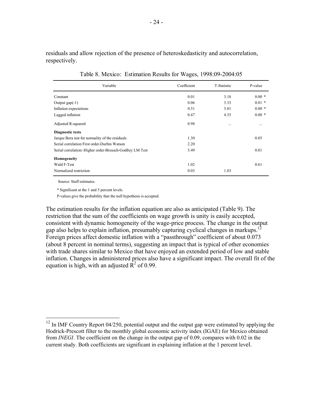residuals and allow rejection of the presence of heteroskedasticity and autocorrelation, respectively.

| Variable                                                 | Coefficient | T-Statistic | P-value  |
|----------------------------------------------------------|-------------|-------------|----------|
| Constant                                                 | 0.01        | 3.18        | $0.00*$  |
| Output $gap(-1)$                                         | 0.06        | 3.33        | $0.01$ * |
| Inflation expectations                                   | 0.51        | 5.01        | $0.00*$  |
| Lagged inflation                                         | 0.47        | 4.35        | $0.00*$  |
| Adjusted R-squared                                       | 0.98        |             | .        |
| Diagnostic tests                                         |             |             |          |
| Jarque Bera test for normality of the residuals          | 1.30        |             | 0.05     |
| Serial correlation First order-Durbin Watson             | 2.20        |             |          |
| Serial correlation: Higher order-Breusch-Godfrey LM Test | 5.49        |             | 0.01     |
| Homogeneity                                              |             |             |          |
| Wald F-Test                                              | 1.02        |             | 0.61     |
| Normalized restriction                                   | 0.03        | 1.03        |          |

Table 8. Mexico: Estimation Results for Wages, 1998:09-2004:05

Source: Staff estimates.

 $\overline{a}$ 

\* Significant at the 1 and 5 percent levels.

P-values give the probability that the null hypothesis is accepted.

The estimation results for the inflation equation are also as anticipated (Table 9). The restriction that the sum of the coefficients on wage growth is unity is easily accepted, consistent with dynamic homogeneity of the wage-price process. The change in the output gap also helps to explain inflation, presumably capturing cyclical changes in markups.<sup>12</sup> Foreign prices affect domestic inflation with a "passthrough" coefficient of about 0.073 (about 8 percent in nominal terms), suggesting an impact that is typical of other economies with trade shares similar to Mexico that have enjoyed an extended period of low and stable inflation. Changes in administered prices also have a significant impact. The overall fit of the equation is high, with an adjusted  $\mathbb{R}^2$  of 0.99.

 $12$  In IMF Country Report 04/250, potential output and the output gap were estimated by applying the Hodrick-Prescott filter to the monthly global economic activity index (IGAE) for Mexico obtained from *INEGI*. The coefficient on the change in the output gap of 0.09, compares with 0.02 in the current study. Both coefficients are significant in explaining inflation at the 1 percent level.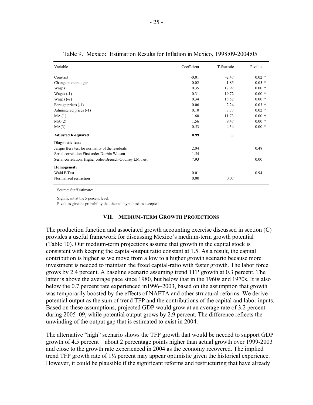| Variable                                                 | Coefficient | T-Statistic | P-value  |
|----------------------------------------------------------|-------------|-------------|----------|
| Constant                                                 | $-0.01$     | $-2.47$     | $0.02 *$ |
| Change in output gap                                     | 0.02        | 1.85        | $0.05*$  |
| Wages                                                    | 0.35        | 17.92       | $0.00*$  |
| Wages $(-1)$                                             | 0.31        | 19.72       | $0.00*$  |
| Wages $(-2)$                                             | 0.34        | 18.52       | $0.00*$  |
| Foreign prices (-1)                                      | 0.06        | 2.24        | $0.03 *$ |
| Admiistered prices (-1)                                  | 0.10        | 7.77        | $0.02$ * |
| MA(1)                                                    | 1.60        | 11.73       | $0.00*$  |
| MA(2)                                                    | 1.56        | 9.47        | $0.00*$  |
| MA(3)                                                    | 0.53        | 4.34        | $0.00*$  |
| <b>Adjusted R-squared</b>                                | 0.99        | $\cdots$    |          |
| <b>Diagnostic tests</b>                                  |             |             |          |
| Jarque Bera test for normality of the residuals          | 2.04        |             | 0.48     |
| Serial correlation First order-Durbin Watson             | 1.54        |             |          |
| Serial correlation: Higher order-Breusch-Godfrey LM Test | 7.93        |             | 0.00     |
| Homogeneity                                              |             |             |          |
| Wald F-Test                                              | 0.01        |             | 0.94     |
| Normalized restriction                                   | 0.00        | 0.07        |          |

Table 9. Mexico: Estimation Results for Inflation in Mexico, 1998:09-2004:05

Source: Staff estimates.

Significant at the 5 percent level.

P-values give the probability that the null hypothesis is accepted.

#### **VII. MEDIUM-TERM GROWTH PROJECTIONS**

The production function and associated growth accounting exercise discussed in section (C) provides a useful framework for discussing Mexico's medium-term growth potential (Table 10). Our medium-term projections assume that growth in the capital stock is consistent with keeping the capital-output ratio constant at 1.5. As a result, the capital contribution is higher as we move from a low to a higher growth scenario because more investment is needed to maintain the fixed capital-ratio with faster growth. The labor force grows by 2.4 percent. A baseline scenario assuming trend TFP growth at 0.3 percent. The latter is above the average pace since 1980, but below that in the 1960s and 1970s. It is also below the 0.7 percent rate experienced in1996–2003, based on the assumption that growth was temporarily boosted by the effects of NAFTA and other structural reforms. We derive potential output as the sum of trend TFP and the contributions of the capital and labor inputs. Based on these assumptions, projected GDP would grow at an average rate of 3.2 percent during 2005–09, while potential output grows by 2.9 percent. The difference reflects the unwinding of the output gap that is estimated to exist in 2004.

The alternative "high" scenario shows the TFP growth that would be needed to support GDP growth of 4.5 percent—about 2 percentage points higher than actual growth over 1999-2003 and close to the growth rate experienced in 2004 as the economy recovered. The implied trend TFP growth rate of 1¼ percent may appear optimistic given the historical experience. However, it could be plausible if the significant reforms and restructuring that have already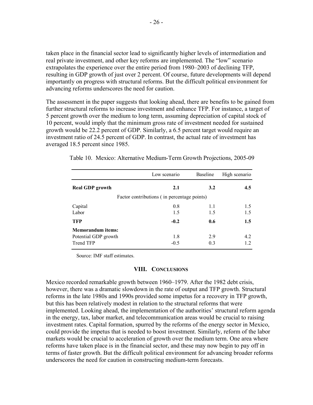taken place in the financial sector lead to significantly higher levels of intermediation and real private investment, and other key reforms are implemented. The "low" scenario extrapolates the experience over the entire period from 1980–2003 of declining TFP, resulting in GDP growth of just over 2 percent. Of course, future developments will depend importantly on progress with structural reforms. But the difficult political environment for advancing reforms underscores the need for caution.

The assessment in the paper suggests that looking ahead, there are benefits to be gained from further structural reforms to increase investment and enhance TFP. For instance, a target of 5 percent growth over the medium to long term, assuming depreciation of capital stock of 10 percent, would imply that the minimum gross rate of investment needed for sustained growth would be 22.2 percent of GDP. Similarly, a 6.5 percent target would require an investment ratio of 24.5 percent of GDP. In contrast, the actual rate of investment has averaged 18.5 percent since 1985.

|                                             | Low scenario | Baseline | High scenario |  |  |
|---------------------------------------------|--------------|----------|---------------|--|--|
| <b>Real GDP</b> growth                      | 2.1          | 3.2      | $4.5^{\circ}$ |  |  |
| Factor contributions (in percentage points) |              |          |               |  |  |
| Capital                                     | 0.8          | 1.1      | 1.5           |  |  |
| Labor                                       | 1.5          | 1.5      | 1.5           |  |  |
| <b>TFP</b>                                  | $-0.2$       | 0.6      | 1.5           |  |  |
| <b>Memorandum</b> items:                    |              |          |               |  |  |
| Potential GDP growth                        | 1.8          | 2.9      | 4.2           |  |  |
| Trend TFP                                   | $-0.5$       | 0.3      | 1.2           |  |  |

Table 10. Mexico: Alternative Medium-Term Growth Projections, 2005-09

Source: IMF staff estimates.

#### **VIII. CONCLUSIONS**

Mexico recorded remarkable growth between 1960–1979. After the 1982 debt crisis, however, there was a dramatic slowdown in the rate of output and TFP growth. Structural reforms in the late 1980s and 1990s provided some impetus for a recovery in TFP growth, but this has been relatively modest in relation to the structural reforms that were implemented. Looking ahead, the implementation of the authorities' structural reform agenda in the energy, tax, labor market, and telecommunication areas would be crucial to raising investment rates. Capital formation, spurred by the reforms of the energy sector in Mexico, could provide the impetus that is needed to boost investment. Similarly, reform of the labor markets would be crucial to acceleration of growth over the medium term. One area where reforms have taken place is in the financial sector, and these may now begin to pay off in terms of faster growth. But the difficult political environment for advancing broader reforms underscores the need for caution in constructing medium-term forecasts.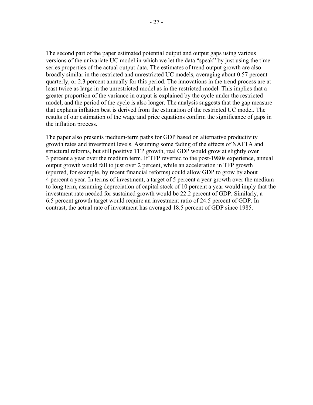The second part of the paper estimated potential output and output gaps using various versions of the univariate UC model in which we let the data "speak" by just using the time series properties of the actual output data. The estimates of trend output growth are also broadly similar in the restricted and unrestricted UC models, averaging about 0.57 percent quarterly, or 2.3 percent annually for this period. The innovations in the trend process are at least twice as large in the unrestricted model as in the restricted model. This implies that a greater proportion of the variance in output is explained by the cycle under the restricted model, and the period of the cycle is also longer. The analysis suggests that the gap measure that explains inflation best is derived from the estimation of the restricted UC model. The results of our estimation of the wage and price equations confirm the significance of gaps in the inflation process.

The paper also presents medium-term paths for GDP based on alternative productivity growth rates and investment levels. Assuming some fading of the effects of NAFTA and structural reforms, but still positive TFP growth, real GDP would grow at slightly over 3 percent a year over the medium term. If TFP reverted to the post-1980s experience, annual output growth would fall to just over 2 percent, while an acceleration in TFP growth (spurred, for example, by recent financial reforms) could allow GDP to grow by about 4 percent a year. In terms of investment, a target of 5 percent a year growth over the medium to long term, assuming depreciation of capital stock of 10 percent a year would imply that the investment rate needed for sustained growth would be 22.2 percent of GDP. Similarly, a 6.5 percent growth target would require an investment ratio of 24.5 percent of GDP. In contrast, the actual rate of investment has averaged 18.5 percent of GDP since 1985.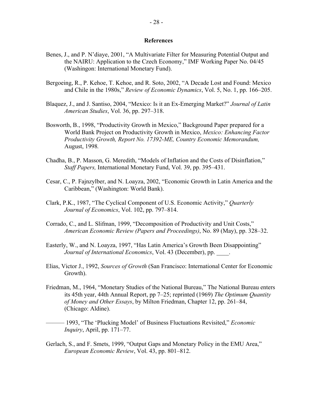#### **References**

- Benes, J., and P. N'diaye, 2001, "A Multivariate Filter for Measuring Potential Output and the NAIRU: Application to the Czech Economy," IMF Working Paper No. 04/45 (Washingon: International Monetary Fund).
- Bergoeing, R., P. Kehoe, T. Kehoe, and R. Soto, 2002, "A Decade Lost and Found: Mexico and Chile in the 1980s," *Review of Economic Dynamics*, Vol. 5, No. 1, pp. 166–205.
- Blaquez, J., and J. Santiso, 2004, "Mexico: Is it an Ex-Emerging Market?" *Journal of Latin American Studies*, Vol. 36, pp. 297–318.
- Bosworth, B., 1998, "Productivity Growth in Mexico," Background Paper prepared for a World Bank Project on Productivity Growth in Mexico, *Mexico: Enhancing Factor Productivity Growth, Report No. 17392-ME, Country Economic Memorandum,*  August, 1998*.*
- Chadha, B., P. Masson, G. Meredith, "Models of Inflation and the Costs of Disinflation," *Staff Papers,* International Monetary Fund, Vol. 39, pp. 395–431.
- Cesar, C., P. Fajnzylber, and N. Loayza, 2002, "Economic Growth in Latin America and the Caribbean," (Washington: World Bank).
- Clark, P.K., 1987, "The Cyclical Component of U.S. Economic Activity," *Quarterly Journal of Economics*, Vol. 102, pp. 797–814.
- Corrado, C., and L. Slifman, 1999, "Decomposition of Productivity and Unit Costs," *American Economic Review (Papers and Proceedings)*, No. 89 (May), pp. 328–32.
- Easterly, W., and N. Loayza, 1997, "Has Latin America's Growth Been Disappointing" *Journal of International Economics*, Vol. 43 (December), pp. \_\_\_\_.
- Elias, Victor J., 1992, *Sources of Growth* (San Francisco: International Center for Economic Growth).
- Friedman, M., 1964, "Monetary Studies of the National Bureau," The National Bureau enters its 45th year, 44th Annual Report, pp 7–25; reprinted (1969) *The Optimum Quantity of Money and Other Essays*, by Milton Friedman, Chapter 12, pp. 261–84, (Chicago: Aldine).
- ——— 1993, "The 'Plucking Model' of Business Fluctuations Revisited," *Economic Inquiry*, April, pp. 171–77.
- Gerlach, S., and F. Smets, 1999, "Output Gaps and Monetary Policy in the EMU Area," *European Economic Review*, Vol. 43, pp. 801–812.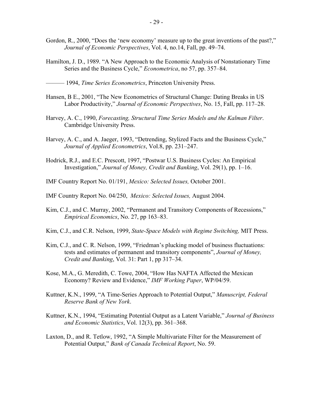- Gordon, R., 2000, "Does the 'new economy' measure up to the great inventions of the past?," *Journal of Economic Perspectives*, Vol. 4, no.14, Fall, pp. 49–74.
- Hamilton, J. D., 1989. "A New Approach to the Economic Analysis of Nonstationary Time Series and the Business Cycle," *Econometrica*, no 57, pp. 357–84.

- Hansen, B E., 2001, "The New Econometrics of Structural Change: Dating Breaks in US Labor Productivity," *Journal of Economic Perspectives*, No. 15, Fall, pp. 117–28.
- Harvey, A. C., 1990, *Forecasting, Structural Time Series Models and the Kalman Filter*. Cambridge University Press.
- Harvey, A. C., and A. Jaeger, 1993, "Detrending, Stylized Facts and the Business Cycle," *Journal of Applied Econometrics*, Vol.8, pp. 231–247.
- Hodrick, R.J., and E.C. Prescott, 1997, "Postwar U.S. Business Cycles: An Empirical Investigation," *Journal of Money, Credit and Banking*, Vol. 29(1), pp. 1–16.
- IMF Country Report No. 01/191, *Mexico: Selected Issues,* October 2001.
- IMF Country Report No. 04/250, *Mexico: Selected Issues,* August 2004.
- Kim, C.J., and C. Murray, 2002, "Permanent and Transitory Components of Recessions," *Empirical Economics*, No. 27, pp 163–83.
- Kim, C.J., and C.R. Nelson, 1999, *State-Space Models with Regime Switching,* MIT Press.
- Kim, C.J., and C. R. Nelson, 1999, "Friedman's plucking model of business fluctuations: tests and estimates of permanent and transitory components", *Journal of Money, Credit and Banking*, Vol. 31: Part 1, pp 317–34.
- Kose, M.A., G. Meredith, C. Towe, 2004, "How Has NAFTA Affected the Mexican Economy? Review and Evidence," *IMF Working Paper*, WP/04/59.
- Kuttner, K.N., 1999, "A Time-Series Approach to Potential Output," *Manuscript, Federal Reserve Bank of New York*.
- Kuttner, K.N., 1994, "Estimating Potential Output as a Latent Variable," *Journal of Business and Economic Statistics*, Vol. 12(3), pp. 361–368.
- Laxton, D., and R. Tetlow, 1992, "A Simple Multivariate Filter for the Measurement of Potential Output," *Bank of Canada Technical Report*, No. 59.

<sup>——— 1994,</sup> *Time Series Econometrics*, Princeton University Press.